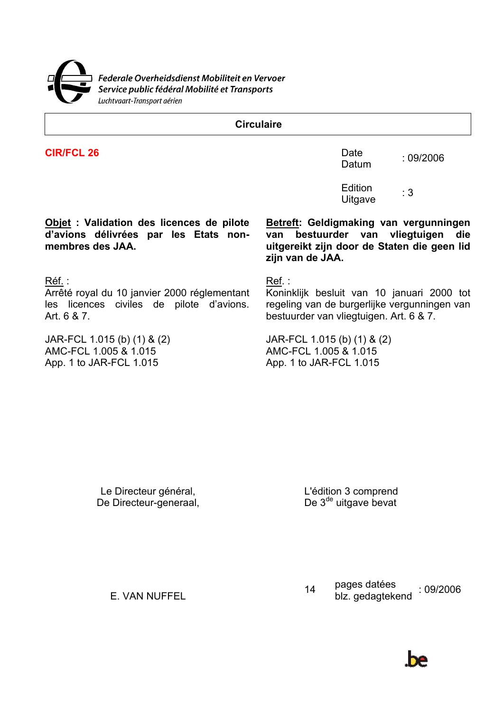

**Circulaire** 

**CIR/FCL 26** Date

 $D$ atum  $109/2006$ 

Edition Equipm<br>Uitgave : 3

**Objet : Validation des licences de pilote d'avions délivrées par les Etats nonmembres des JAA.** 

Réf. : Ref. : Ref. : Ref. : Ref. : Ref. : Ref. : Ref. : Ref. : Ref. : Ref. : Ref. :  $\mathsf{Re}(\mathcal{S})$ 

Arrêté royal du 10 janvier 2000 réglementant les licences civiles de pilote d'avions. Art. 6 & 7.

JAR-FCL 1.015 (b) (1) & (2) AMC-FCL 1.005 & 1.015 App. 1 to JAR-FCL 1.015 App. 1 to JAR-FCL 1.015

**Betreft: Geldigmaking van vergunningen van bestuurder van vliegtuigen die uitgereikt zijn door de Staten die geen lid zijn van de JAA.** 

Koninklijk besluit van 10 januari 2000 tot regeling van de burgerlijke vergunningen van bestuurder van vliegtuigen. Art. 6 & 7.

JAR-FCL 1.015 (b) (1) & (2) AMC-FCL 1.005 & 1.015

Le Directeur général, De Directeur-generaal,

L'édition 3 comprend De 3<sup>de</sup> uitgave bevat

E. VAN NUFFEL 14 pages datées<br>blz. gedagteke payes ualees : 09/2006<br>blz. gedagtekend

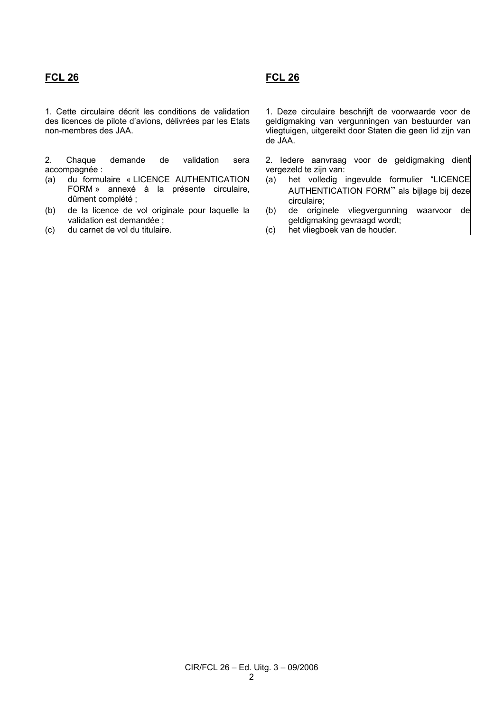## **FCL 26 FCL 26**

1. Cette circulaire décrit les conditions de validation des licences de pilote d'avions, délivrées par les Etats non-membres des JAA.

2. Chaque demande de validation sera accompagnée :

- (a) du formulaire « LICENCE AUTHENTICATION FORM » annexé à la présente circulaire, dûment complété ;
- (b) de la licence de vol originale pour laquelle la validation est demandée ;
- (c) du carnet de vol du titulaire. (c) het vliegboek van de houder.

1. Deze circulaire beschrijft de voorwaarde voor de geldigmaking van vergunningen van bestuurder van vliegtuigen, uitgereikt door Staten die geen lid zijn van de JAA.

2. Iedere aanvraag voor de geldigmaking dient vergezeld te zijn van:

- (a) het volledig ingevulde formulier "LICENCE AUTHENTICATION FORM" als bijlage bij deze circulaire;
- (b) de originele vliegvergunning waarvoor de geldigmaking gevraagd wordt;
-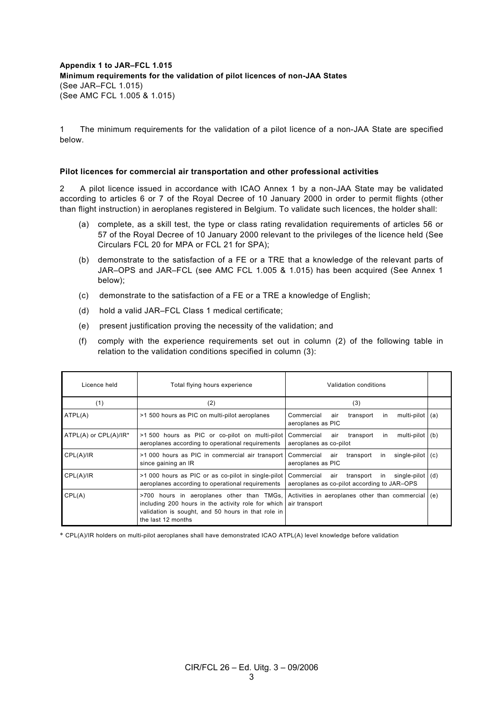**Appendix 1 to JAR–FCL 1.015 Minimum requirements for the validation of pilot licences of non-JAA States** (See JAR–FCL 1.015) (See AMC FCL 1.005 & 1.015)

1 The minimum requirements for the validation of a pilot licence of a non-JAA State are specified below.

## **Pilot licences for commercial air transportation and other professional activities**

2 A pilot licence issued in accordance with ICAO Annex 1 by a non-JAA State may be validated according to articles 6 or 7 of the Royal Decree of 10 January 2000 in order to permit flights (other than flight instruction) in aeroplanes registered in Belgium. To validate such licences, the holder shall:

- (a) complete, as a skill test, the type or class rating revalidation requirements of articles 56 or 57 of the Royal Decree of 10 January 2000 relevant to the privileges of the licence held (See Circulars FCL 20 for MPA or FCL 21 for SPA);
- (b) demonstrate to the satisfaction of a FE or a TRE that a knowledge of the relevant parts of JAR–OPS and JAR–FCL (see AMC FCL 1.005 & 1.015) has been acquired (See Annex 1 below);
- (c) demonstrate to the satisfaction of a FE or a TRE a knowledge of English;
- (d) hold a valid JAR–FCL Class 1 medical certificate;
- (e) present justification proving the necessity of the validation; and
- (f) comply with the experience requirements set out in column (2) of the following table in relation to the validation conditions specified in column (3):

| Licence held          | Total flying hours experience<br>Validation conditions                                                                                                                      |                                                                                                     |     |
|-----------------------|-----------------------------------------------------------------------------------------------------------------------------------------------------------------------------|-----------------------------------------------------------------------------------------------------|-----|
| (1)                   | (2)                                                                                                                                                                         | (3)                                                                                                 |     |
| ATPL(A)               | >1 500 hours as PIC on multi-pilot aeroplanes                                                                                                                               | Commercial<br>transport<br>multi-pilot<br>air<br>in<br>aeroplanes as PIC                            | (a) |
| ATPL(A) or CPL(A)/IR* | >1 500 hours as PIC or co-pilot on multi-pilot<br>aeroplanes according to operational requirements                                                                          | multi-pilot<br>Commercial<br>transport<br>air<br>in<br>aeroplanes as co-pilot                       | (b) |
| CPL(A)/IR             | >1 000 hours as PIC in commercial air transport<br>since gaining an IR                                                                                                      | Commercial<br>air<br>transport<br>single-pilot<br>in.<br>aeroplanes as PIC                          | (C) |
| CPL(A)/IR             | >1 000 hours as PIC or as co-pilot in single-pilot<br>aeroplanes according to operational requirements                                                                      | Commercial<br>transport<br>single-pilot<br>air<br>in<br>aeroplanes as co-pilot according to JAR-OPS | (d) |
| CPL(A)                | >700 hours in aeroplanes other than TMGs,<br>including 200 hours in the activity role for which<br>validation is sought, and 50 hours in that role in<br>the last 12 months | Activities in aeroplanes other than commercial<br>air transport                                     | (e) |

\* CPL(A)/IR holders on multi-pilot aeroplanes shall have demonstrated ICAO ATPL(A) level knowledge before validation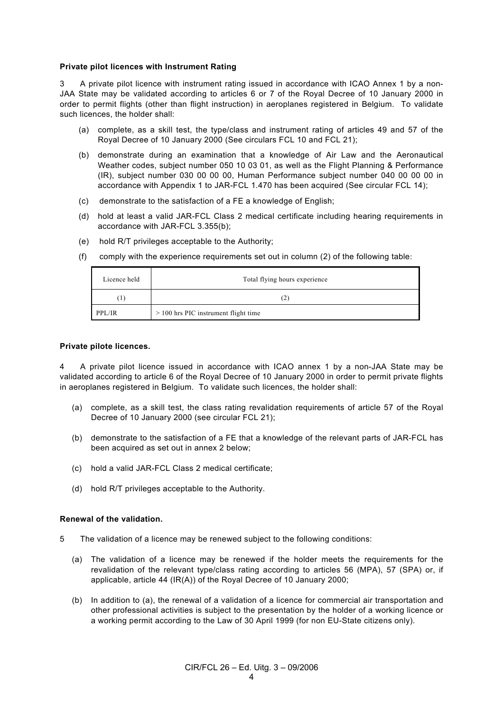## **Private pilot licences with Instrument Rating**

3 A private pilot licence with instrument rating issued in accordance with ICAO Annex 1 by a non-JAA State may be validated according to articles 6 or 7 of the Royal Decree of 10 January 2000 in order to permit flights (other than flight instruction) in aeroplanes registered in Belgium. To validate such licences, the holder shall:

- (a) complete, as a skill test, the type/class and instrument rating of articles 49 and 57 of the Royal Decree of 10 January 2000 (See circulars FCL 10 and FCL 21);
- (b) demonstrate during an examination that a knowledge of Air Law and the Aeronautical Weather codes, subject number 050 10 03 01, as well as the Flight Planning & Performance (IR), subject number 030 00 00 00, Human Performance subject number 040 00 00 00 in accordance with Appendix 1 to JAR-FCL 1.470 has been acquired (See circular FCL 14);
- (c) demonstrate to the satisfaction of a FE a knowledge of English;
- (d) hold at least a valid JAR-FCL Class 2 medical certificate including hearing requirements in accordance with JAR-FCL 3.355(b);
- (e) hold R/T privileges acceptable to the Authority;
- (f) comply with the experience requirements set out in column (2) of the following table:

| Licence held | Total flying hours experience          |
|--------------|----------------------------------------|
| T            | (2)                                    |
| PPL/IR       | $> 100$ hrs PIC instrument flight time |

## **Private pilote licences.**

4 A private pilot licence issued in accordance with ICAO annex 1 by a non-JAA State may be validated according to article 6 of the Royal Decree of 10 January 2000 in order to permit private flights in aeroplanes registered in Belgium. To validate such licences, the holder shall:

- (a) complete, as a skill test, the class rating revalidation requirements of article 57 of the Royal Decree of 10 January 2000 (see circular FCL 21);
- (b) demonstrate to the satisfaction of a FE that a knowledge of the relevant parts of JAR-FCL has been acquired as set out in annex 2 below;
- (c) hold a valid JAR-FCL Class 2 medical certificate;
- (d) hold R/T privileges acceptable to the Authority.

## **Renewal of the validation.**

- 5 The validation of a licence may be renewed subject to the following conditions:
	- (a) The validation of a licence may be renewed if the holder meets the requirements for the revalidation of the relevant type/class rating according to articles 56 (MPA), 57 (SPA) or, if applicable, article 44 (IR(A)) of the Royal Decree of 10 January 2000;
	- (b) In addition to (a), the renewal of a validation of a licence for commercial air transportation and other professional activities is subject to the presentation by the holder of a working licence or a working permit according to the Law of 30 April 1999 (for non EU-State citizens only).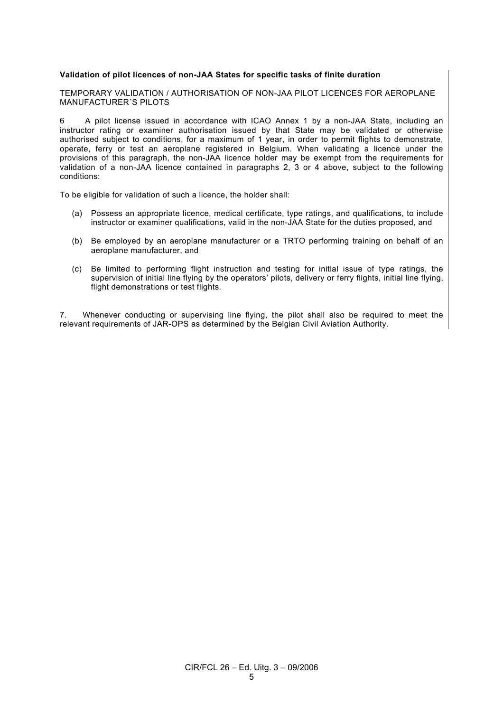## **Validation of pilot licences of non-JAA States for specific tasks of finite duration**

TEMPORARY VALIDATION / AUTHORISATION OF NON-JAA PILOT LICENCES FOR AEROPLANE MANUFACTURER´S PILOTS

6 A pilot license issued in accordance with ICAO Annex 1 by a non-JAA State, including an instructor rating or examiner authorisation issued by that State may be validated or otherwise authorised subject to conditions, for a maximum of 1 year, in order to permit flights to demonstrate, operate, ferry or test an aeroplane registered in Belgium. When validating a licence under the provisions of this paragraph, the non-JAA licence holder may be exempt from the requirements for validation of a non-JAA licence contained in paragraphs 2, 3 or 4 above, subject to the following conditions:

To be eligible for validation of such a licence, the holder shall:

- (a) Possess an appropriate licence, medical certificate, type ratings, and qualifications, to include instructor or examiner qualifications, valid in the non-JAA State for the duties proposed, and
- (b) Be employed by an aeroplane manufacturer or a TRTO performing training on behalf of an aeroplane manufacturer, and
- (c) Be limited to performing flight instruction and testing for initial issue of type ratings, the supervision of initial line flying by the operators' pilots, delivery or ferry flights, initial line flying, flight demonstrations or test flights.

7. Whenever conducting or supervising line flying, the pilot shall also be required to meet the relevant requirements of JAR-OPS as determined by the Belgian Civil Aviation Authority.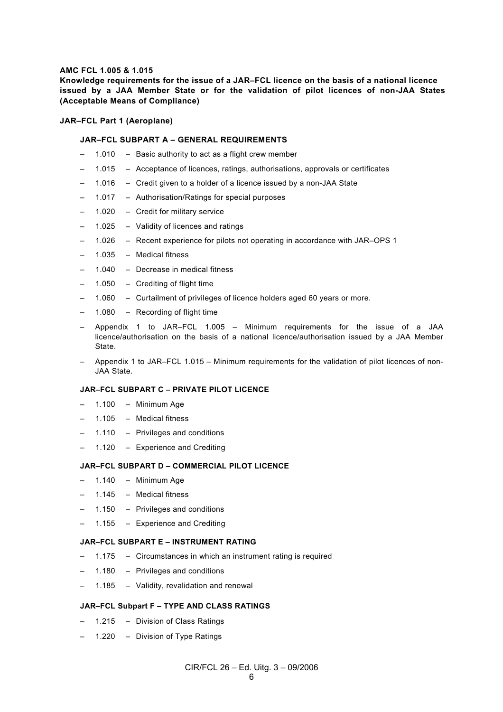## **AMC FCL 1.005 & 1.015**

**Knowledge requirements for the issue of a JAR–FCL licence on the basis of a national licence issued by a JAA Member State or for the validation of pilot licences of non-JAA States (Acceptable Means of Compliance)** 

#### **JAR–FCL Part 1 (Aeroplane)**

## **JAR–FCL SUBPART A – GENERAL REQUIREMENTS**

- 1.010 Basic authority to act as a flight crew member
- 1.015 Acceptance of licences, ratings, authorisations, approvals or certificates
- 1.016 Credit given to a holder of a licence issued by a non-JAA State
- 1.017 Authorisation/Ratings for special purposes
- 1.020 Credit for military service
- 1.025 Validity of licences and ratings
- 1.026 Recent experience for pilots not operating in accordance with JAR–OPS 1
- 1.035 Medical fitness
- 1.040 Decrease in medical fitness
- $1.050 -$  Crediting of flight time
- 1.060 Curtailment of privileges of licence holders aged 60 years or more.
- $1.080 -$  Recording of flight time
- Appendix 1 to JAR–FCL 1.005 Minimum requirements for the issue of a JAA licence/authorisation on the basis of a national licence/authorisation issued by a JAA Member State.
- Appendix 1 to JAR–FCL 1.015 Minimum requirements for the validation of pilot licences of non-JAA State.

## **JAR–FCL SUBPART C – PRIVATE PILOT LICENCE**

- $-$  1.100 Minimum Age
- 1.105 Medical fitness
- 1.110 Privileges and conditions
- 1.120 Experience and Crediting

## **JAR–FCL SUBPART D – COMMERCIAL PILOT LICENCE**

- $-$  1.140 Minimum Age
- 1.145 Medical fitness
- 1.150 Privileges and conditions
- 1.155 Experience and Crediting

#### **JAR–FCL SUBPART E – INSTRUMENT RATING**

- 1.175 Circumstances in which an instrument rating is required
- 1.180 Privileges and conditions
- 1.185 Validity, revalidation and renewal

## **JAR–FCL Subpart F – TYPE AND CLASS RATINGS**

- 1.215 Division of Class Ratings
- 1.220 Division of Type Ratings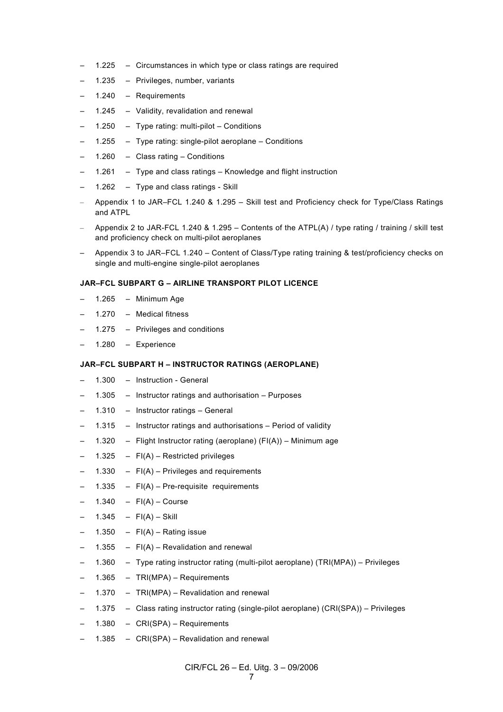- 1.225 Circumstances in which type or class ratings are required
- 1.235 Privileges, number, variants
- 1.240 Requirements
- 1.245 Validity, revalidation and renewal
- 1.250 Type rating: multi-pilot Conditions
- 1.255 Type rating: single-pilot aeroplane Conditions
- 1.260 Class rating Conditions
- 1.261 Type and class ratings Knowledge and flight instruction
- 1.262 Type and class ratings Skill
- Appendix 1 to JAR–FCL 1.240 & 1.295 Skill test and Proficiency check for Type/Class Ratings and ATPL
- Appendix 2 to JAR-FCL 1.240 & 1.295 Contents of the ATPL(A) / type rating / training / skill test and proficiency check on multi-pilot aeroplanes
- Appendix 3 to JAR–FCL 1.240 Content of Class/Type rating training & test/proficiency checks on single and multi-engine single-pilot aeroplanes

## **JAR–FCL SUBPART G – AIRLINE TRANSPORT PILOT LICENCE**

- 1.265 Minimum Age
- 1.270 Medical fitness
- 1.275 Privileges and conditions
- 1.280 Experience

## **JAR–FCL SUBPART H – INSTRUCTOR RATINGS (AEROPLANE)**

- 1.300 Instruction General
- 1.305 Instructor ratings and authorisation Purposes
- 1.310 Instructor ratings General
- 1.315 Instructor ratings and authorisations Period of validity
- 1.320 Flight Instructor rating (aeroplane)  $(FI(A))$  Minimum age
- 1.325  $FI(A)$  Restricted privileges
- 1.330  $FI(A)$  Privileges and requirements
- 1.335  $FI(A)$  Pre-requisite requirements
- 1.340  $FI(A)$  Course
- 1.345  $FI(A)$  Skill
- 1.350  $FI(A)$  Rating issue
- 1.355  $FI(A)$  Revalidation and renewal
- 1.360 Type rating instructor rating (multi-pilot aeroplane) (TRI(MPA)) Privileges
- 1.365 TRI(MPA) Requirements
- 1.370 TRI(MPA) Revalidation and renewal
- 1.375 Class rating instructor rating (single-pilot aeroplane) (CRI(SPA)) Privileges
- 1.380 CRI(SPA) Requirements
- 1.385 CRI(SPA) Revalidation and renewal

CIR/FCL 26 – Ed. Uitg. 3 – 09/2006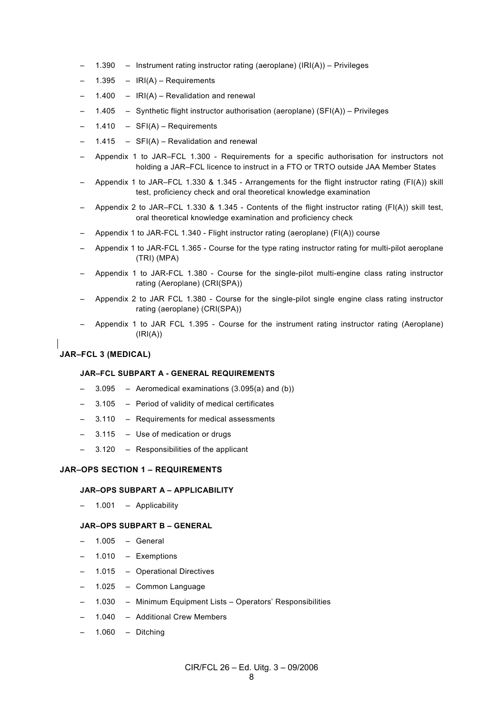- 1.390 Instrument rating instructor rating (aeroplane) (IRI(A)) Privileges
- 1.395  $IRI(A)$  Requirements
- 1.400  $IRI(A)$  Revalidation and renewal
- 1.405 Synthetic flight instructor authorisation (aeroplane) (SFI(A)) Privileges
- 1.410 SFI(A) Requirements
- 1.415  $SFI(A)$  Revalidation and renewal
- Appendix 1 to JAR–FCL 1.300 Requirements for a specific authorisation for instructors not holding a JAR–FCL licence to instruct in a FTO or TRTO outside JAA Member States
- Appendix 1 to JAR–FCL 1.330 & 1.345 Arrangements for the flight instructor rating (FI(A)) skill test, proficiency check and oral theoretical knowledge examination
- Appendix 2 to JAR–FCL 1.330 & 1.345 Contents of the flight instructor rating (FI(A)) skill test, oral theoretical knowledge examination and proficiency check
- Appendix 1 to JAR-FCL 1.340 Flight instructor rating (aeroplane) (FI(A)) course
- Appendix 1 to JAR-FCL 1.365 Course for the type rating instructor rating for multi-pilot aeroplane (TRI) (MPA)
- Appendix 1 to JAR-FCL 1.380 Course for the single-pilot multi-engine class rating instructor rating (Aeroplane) (CRI(SPA))
- Appendix 2 to JAR FCL 1.380 Course for the single-pilot single engine class rating instructor rating (aeroplane) (CRI(SPA))
- Appendix 1 to JAR FCL 1.395 Course for the instrument rating instructor rating (Aeroplane)  $(IRI(A))$

## **JAR–FCL 3 (MEDICAL)**

### **JAR–FCL SUBPART A - GENERAL REQUIREMENTS**

- 3.095 Aeromedical examinations  $(3.095(a)$  and  $(b))$
- 3.105 Period of validity of medical certificates
- 3.110 Requirements for medical assessments
- 3.115 Use of medication or drugs
- 3.120 Responsibilities of the applicant

## **JAR–OPS SECTION 1 – REQUIREMENTS**

#### **JAR–OPS SUBPART A – APPLICABILITY**

– 1.001 – Applicability

#### **JAR–OPS SUBPART B – GENERAL**

- 1.005 General
- 1.010 Exemptions
- 1.015 Operational Directives
- 1.025 Common Language
- 1.030 Minimum Equipment Lists Operators' Responsibilities
- 1.040 Additional Crew Members
- $1.060 -$  Ditching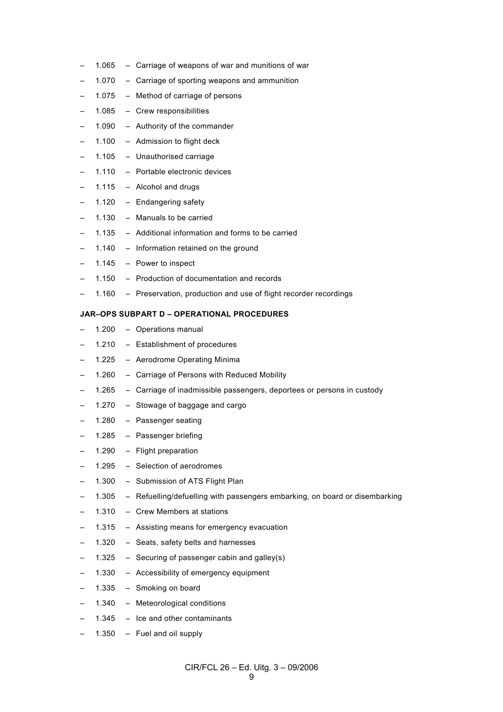- 1.065 Carriage of weapons of war and munitions of war
- 1.070 Carriage of sporting weapons and ammunition
- 1.075 Method of carriage of persons
- 1.085 Crew responsibilities
- 1.090 Authority of the commander
- 1.100 Admission to flight deck
- 1.105 Unauthorised carriage
- 1.110 Portable electronic devices
- 1.115 Alcohol and drugs
- 1.120 Endangering safety
- 1.130 Manuals to be carried
- 1.135 Additional information and forms to be carried
- 1.140 Information retained on the ground
- 1.145 Power to inspect
- 1.150 Production of documentation and records
- 1.160 Preservation, production and use of flight recorder recordings

## **JAR–OPS SUBPART D – OPERATIONAL PROCEDURES**

- 1.200 Operations manual
- 1.210 Establishment of procedures
- 1.225 Aerodrome Operating Minima
- 1.260 Carriage of Persons with Reduced Mobility
- 1.265 Carriage of inadmissible passengers, deportees or persons in custody
- 1.270 Stowage of baggage and cargo
- 1.280 Passenger seating
- 1.285 Passenger briefing
- 1.290 Flight preparation
- 1.295 Selection of aerodromes
- 1.300 Submission of ATS Flight Plan
- 1.305 Refuelling/defuelling with passengers embarking, on board or disembarking
- 1.310 Crew Members at stations
- 1.315 Assisting means for emergency evacuation
- 1.320 Seats, safety belts and harnesses
- 1.325 Securing of passenger cabin and galley(s)
- 1.330 Accessibility of emergency equipment
- 1.335 Smoking on board
- 1.340 Meteorological conditions
- 1.345 Ice and other contaminants
- 1.350 Fuel and oil supply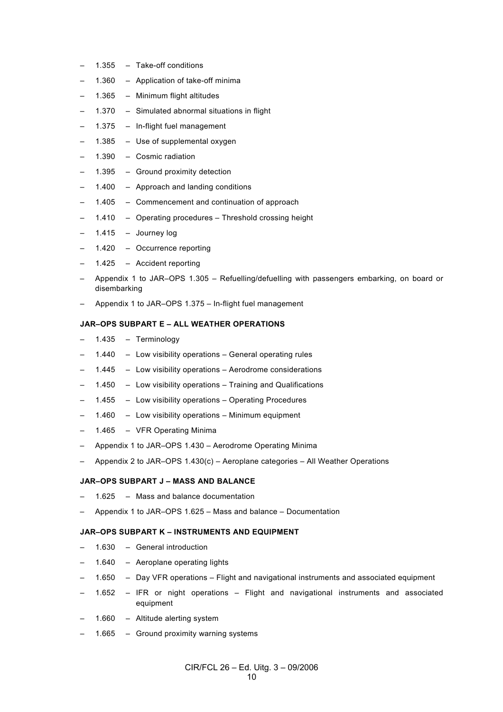- 1.355 Take-off conditions
- 1.360 Application of take-off minima
- 1.365 Minimum flight altitudes
- 1.370 Simulated abnormal situations in flight
- 1.375 In-flight fuel management
- 1.385  $-$  Use of supplemental oxygen
- 1.390 Cosmic radiation
- 1.395 Ground proximity detection
- 1.400 Approach and landing conditions
- 1.405 Commencement and continuation of approach
- 1.410 Operating procedures Threshold crossing height
- 1.415  $-$  Journey log
- 1.420 Occurrence reporting
- 1.425 Accident reporting
- Appendix 1 to JAR–OPS 1.305 Refuelling/defuelling with passengers embarking, on board or disembarking
- Appendix 1 to JAR–OPS 1.375 In-flight fuel management

## **JAR–OPS SUBPART E – ALL WEATHER OPERATIONS**

- 1.435 Terminology
- 1.440 Low visibility operations General operating rules
- 1.445 Low visibility operations Aerodrome considerations
- 1.450 Low visibility operations Training and Qualifications
- 1.455 Low visibility operations Operating Procedures
- 1.460 Low visibility operations Minimum equipment
- 1.465 VFR Operating Minima
- Appendix 1 to JAR–OPS 1.430 Aerodrome Operating Minima
- Appendix 2 to JAR–OPS 1.430(c) Aeroplane categories All Weather Operations

#### **JAR–OPS SUBPART J – MASS AND BALANCE**

- 1.625 Mass and balance documentation
- Appendix 1 to JAR–OPS 1.625 Mass and balance Documentation

## **JAR–OPS SUBPART K – INSTRUMENTS AND EQUIPMENT**

- 1.630 General introduction
- 1.640 Aeroplane operating lights
- 1.650 Day VFR operations Flight and navigational instruments and associated equipment
- 1.652 IFR or night operations Flight and navigational instruments and associated equipment
- 1.660 Altitude alerting system
- 1.665 Ground proximity warning systems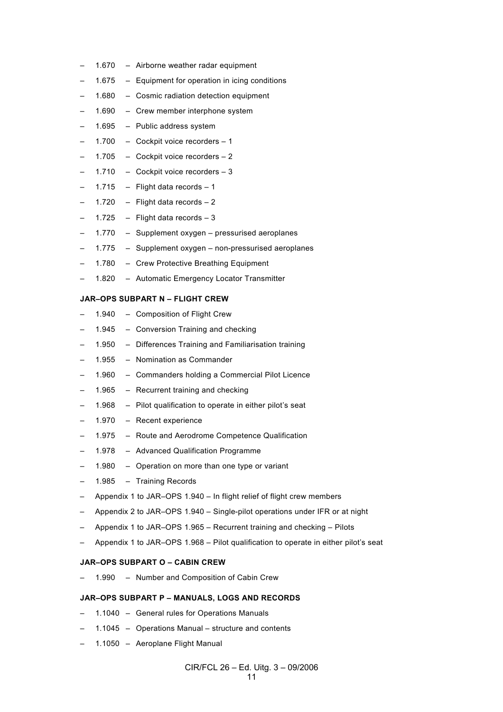- 1.670 Airborne weather radar equipment
- 1.675 Equipment for operation in icing conditions
- 1.680 Cosmic radiation detection equipment
- 1.690 Crew member interphone system
- 1.695 Public address system
- 1.700 Cockpit voice recorders 1
- 1.705 Cockpit voice recorders 2
- 1.710 Cockpit voice recorders 3
- 1.715 Flight data records  $-1$
- 1.720 Flight data records  $-2$
- 1.725 Flight data records  $-3$
- 1.770 Supplement oxygen pressurised aeroplanes
- 1.775 Supplement oxygen non-pressurised aeroplanes
- 1.780 Crew Protective Breathing Equipment
- 1.820 Automatic Emergency Locator Transmitter

## **JAR–OPS SUBPART N – FLIGHT CREW**

- 1.940 Composition of Flight Crew
- 1.945 Conversion Training and checking
- 1.950 Differences Training and Familiarisation training
- 1.955 Nomination as Commander
- 1.960 Commanders holding a Commercial Pilot Licence
- 1.965 Recurrent training and checking
- 1.968 Pilot qualification to operate in either pilot's seat
- 1.970 Recent experience
- 1.975 Route and Aerodrome Competence Qualification
- 1.978 Advanced Qualification Programme
- 1.980 Operation on more than one type or variant
- 1.985 Training Records
- Appendix 1 to JAR–OPS 1.940 In flight relief of flight crew members
- Appendix 2 to JAR–OPS 1.940 Single-pilot operations under IFR or at night
- Appendix 1 to JAR–OPS 1.965 Recurrent training and checking Pilots
- Appendix 1 to JAR–OPS 1.968 Pilot qualification to operate in either pilot's seat

## **JAR–OPS SUBPART O – CABIN CREW**

– 1.990 – Number and Composition of Cabin Crew

#### **JAR–OPS SUBPART P – MANUALS, LOGS AND RECORDS**

- 1.1040 General rules for Operations Manuals
- 1.1045 Operations Manual structure and contents
- 1.1050 Aeroplane Flight Manual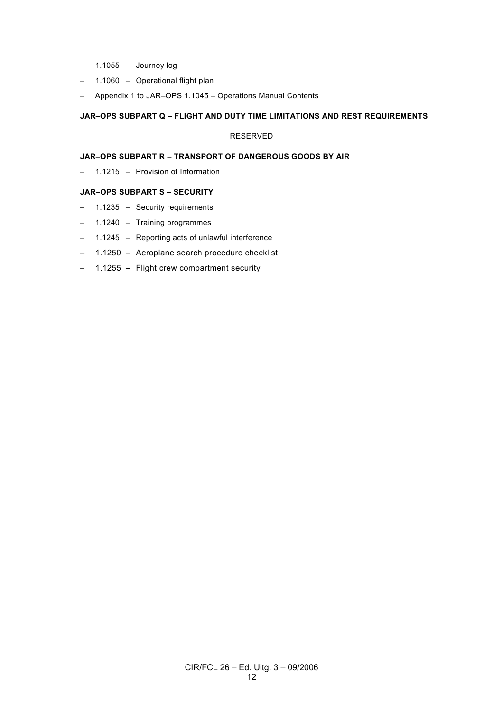- 1.1055 Journey log
- 1.1060 Operational flight plan
- Appendix 1 to JAR–OPS 1.1045 Operations Manual Contents

## **JAR–OPS SUBPART Q – FLIGHT AND DUTY TIME LIMITATIONS AND REST REQUIREMENTS**

## RESERVED

## **JAR–OPS SUBPART R – TRANSPORT OF DANGEROUS GOODS BY AIR**

– 1.1215 – Provision of Information

## **JAR–OPS SUBPART S – SECURITY**

- 1.1235 Security requirements
- 1.1240 Training programmes
- 1.1245 Reporting acts of unlawful interference
- 1.1250 Aeroplane search procedure checklist
- 1.1255 Flight crew compartment security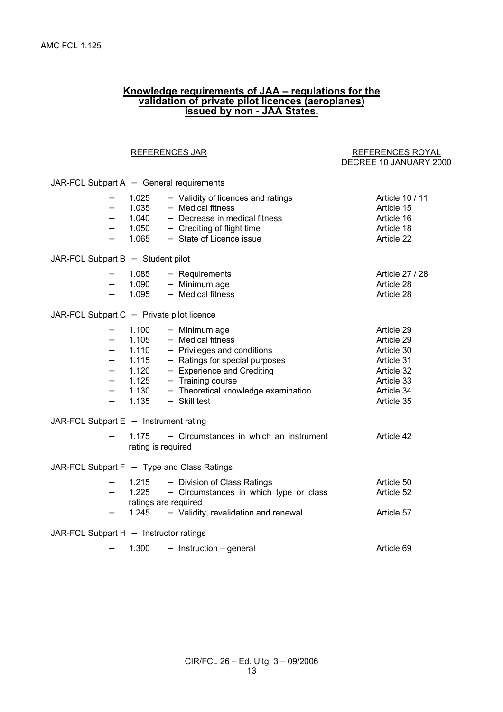## **Knowledge requirements of JAA – regulations for the validation of private pilot licences (aeroplanes) issued by non - JAA States.**

DECREE 10 JANUARY 2000

# REFERENCES JAR REFERENCES ROYAL

| JAR-FCL Subpart A - General requirements     |                                           |                                        |                 |  |  |
|----------------------------------------------|-------------------------------------------|----------------------------------------|-----------------|--|--|
|                                              | 1.025                                     | - Validity of licences and ratings     | Article 10 / 11 |  |  |
|                                              | 1.035                                     | - Medical fitness                      | Article 15      |  |  |
| $\overline{\phantom{0}}$                     | 1.040                                     | - Decrease in medical fitness          | Article 16      |  |  |
| $\overline{\phantom{0}}$                     | 1.050                                     | - Crediting of flight time             | Article 18      |  |  |
| $\qquad \qquad -$                            | 1.065                                     | - State of Licence issue               | Article 22      |  |  |
| JAR-FCL Subpart B - Student pilot            |                                           |                                        |                 |  |  |
|                                              | 1.085                                     | - Requirements                         | Article 27 / 28 |  |  |
| $\qquad \qquad -$                            | 1.090                                     | - Minimum age                          | Article 28      |  |  |
| $\overline{\phantom{0}}$                     | 1.095                                     | - Medical fitness                      | Article 28      |  |  |
|                                              |                                           |                                        |                 |  |  |
|                                              | JAR-FCL Subpart C - Private pilot licence |                                        |                 |  |  |
|                                              | 1.100                                     | - Minimum age                          | Article 29      |  |  |
| $\overline{\phantom{0}}$                     | 1.105                                     | - Medical fitness                      | Article 29      |  |  |
| $\overline{\phantom{0}}$                     | 1.110                                     | $-$ Privileges and conditions          | Article 30      |  |  |
| $\overline{\phantom{0}}$                     | 1.115                                     | - Ratings for special purposes         | Article 31      |  |  |
| $\qquad \qquad -$                            | 1.120                                     | - Experience and Crediting             | Article 32      |  |  |
| $\overline{\phantom{0}}$                     | 1.125                                     | - Training course                      | Article 33      |  |  |
| $\overline{\phantom{0}}$                     | 1.130                                     | - Theoretical knowledge examination    | Article 34      |  |  |
| $\overline{\phantom{0}}$                     | 1.135                                     | $-$ Skill test                         | Article 35      |  |  |
| JAR-FCL Subpart $E -$ Instrument rating      |                                           |                                        |                 |  |  |
|                                              | 1.175                                     | - Circumstances in which an instrument | Article 42      |  |  |
|                                              | rating is required                        |                                        |                 |  |  |
| JAR-FCL Subpart $F - Type$ and Class Ratings |                                           |                                        |                 |  |  |
|                                              | 1.215                                     | - Division of Class Ratings            | Article 50      |  |  |
|                                              | 1.225                                     | - Circumstances in which type or class | Article 52      |  |  |
|                                              | ratings are required                      |                                        |                 |  |  |
|                                              | 1.245                                     | - Validity, revalidation and renewal   | Article 57      |  |  |
| JAR-FCL Subpart H - Instructor ratings       |                                           |                                        |                 |  |  |
|                                              | 1.300                                     | $-$ Instruction $-$ general            | Article 69      |  |  |
|                                              |                                           |                                        |                 |  |  |